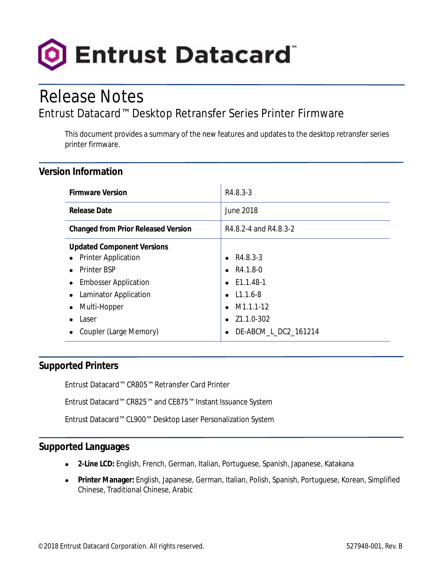

# Release Notes

# Entrust Datacard™ Desktop Retransfer Series Printer Firmware

This document provides a summary of the new features and updates to the desktop retransfer series printer firmware.

#### **Version Information**

| <b>Firmware Version</b>                                                                                                                                                                     | R4.8.3-3                                                                                                                                                                           |
|---------------------------------------------------------------------------------------------------------------------------------------------------------------------------------------------|------------------------------------------------------------------------------------------------------------------------------------------------------------------------------------|
| <b>Release Date</b>                                                                                                                                                                         | <b>June 2018</b>                                                                                                                                                                   |
| <b>Changed from Prior Released Version</b>                                                                                                                                                  | R4.8.2-4 and R4.8.3-2                                                                                                                                                              |
| <b>Updated Component Versions</b><br>• Printer Application<br><b>Printer BSP</b><br><b>Embosser Application</b><br>Laminator Application<br>Multi-Hopper<br>Laser<br>Coupler (Large Memory) | R4.8.3-3<br>$\bullet$<br>R4.1.8-0<br>$\bullet$<br>E1.1.48-1<br>$\bullet$<br>$L1.1.6 - 8$<br>$\bullet$<br>M1.1.1-12<br>$\bullet$<br>Z1.1.0-302<br>$\bullet$<br>DE-ABCM_L_DC2_161214 |

## **Supported Printers**

Entrust Datacard™ CR805™ Retransfer Card Printer

Entrust Datacard™ CR825™ and CE875™ Instant Issuance System

Entrust Datacard™ CL900™ Desktop Laser Personalization System

#### **Supported Languages**

- **2-Line LCD:** English, French, German, Italian, Portuguese, Spanish, Japanese, Katakana
- **Printer Manager:** English, Japanese, German, Italian, Polish, Spanish, Portuguese, Korean, Simplified Chinese, Traditional Chinese, Arabic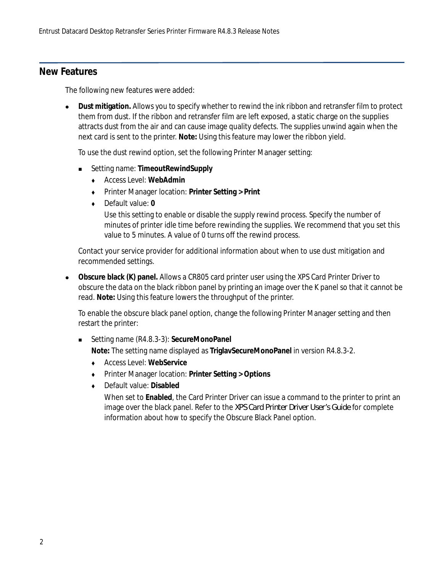#### **New Features**

The following new features were added:

 **Dust mitigation.** Allows you to specify whether to rewind the ink ribbon and retransfer film to protect them from dust. If the ribbon and retransfer film are left exposed, a static charge on the supplies attracts dust from the air and can cause image quality defects. The supplies unwind again when the next card is sent to the printer. **Note:** Using this feature may lower the ribbon yield.

To use the dust rewind option, set the following Printer Manager setting:

- Setting name: **TimeoutRewindSupply**
	- Access Level: **WebAdmin**
	- Printer Manager location: **Printer Setting > Print**
	- Default value: **0**

Use this setting to enable or disable the supply rewind process. Specify the number of minutes of printer idle time before rewinding the supplies. We recommend that you set this value to 5 minutes. A value of 0 turns off the rewind process.

Contact your service provider for additional information about when to use dust mitigation and recommended settings.

 **Obscure black (K) panel.** Allows a CR805 card printer user using the XPS Card Printer Driver to obscure the data on the black ribbon panel by printing an image over the K panel so that it cannot be read. **Note:** Using this feature lowers the throughput of the printer.

To enable the obscure black panel option, change the following Printer Manager setting and then restart the printer:

■ Setting name (R4.8.3-3): **SecureMonoPanel** 

**Note:** The setting name displayed as **TriglavSecureMonoPanel** in version R4.8.3-2.

- Access Level: **WebService**
- Printer Manager location: **Printer Setting > Options**
- Default value: **Disabled**

When set to **Enabled**, the Card Printer Driver can issue a command to the printer to print an image over the black panel. Refer to the *XPS Card Printer Driver User's Guide* for complete information about how to specify the Obscure Black Panel option.